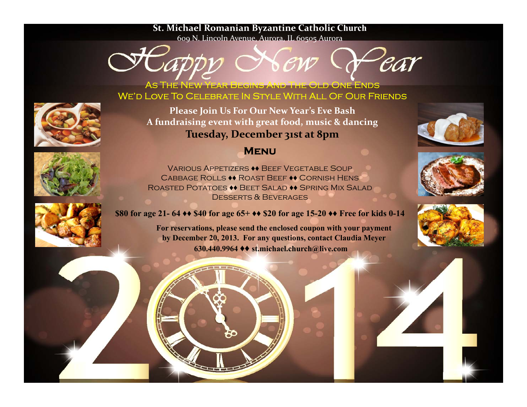## **St. Michael Romanian Byzantine Catholic Church**

609 N. Lincoln Avenue, Aurora, IL 60505 Aurora



As The New Year Begins And The Old One Ends We'd Love To Celebrate In Style With All Of Our Friends



**Please Join Us For Our New Year's Eve Bash A fundraising event with grea<sup>t</sup> food, music & dancing Tuesday, December 31s<sup>t</sup> at 8pm**



## **Menu**



Various Appetizers **♦♦** Beef Vegetable SoupCabbage Rolls **♦♦** Roast Beef **♦♦** Cornish Hens Roasted Potatoes **♦♦** Beet Salad **♦♦** Spring Mix SaladDesserts & Beverages

**\$80 for age 21- 64 ♦♦ \$40 for age 65+ ♦♦ \$20 for age 15-20 ♦♦ Free for kids 0-14**

**For reservations please send the enclosed reservations, coupon with your payment by December 20, 2013. For any questions, contact Claudia Meyer 630.440.9964 ♦♦ st.michael.church@live.com**